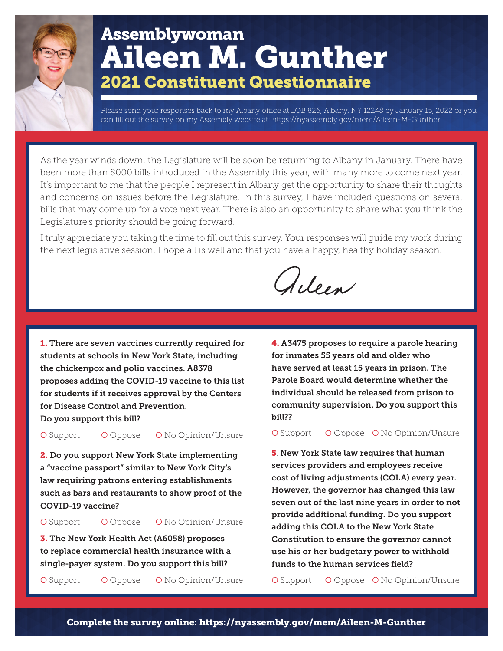## Assemblywoman Aileen M. Gunther 2021 Constituent Questionnaire

Please send your responses back to my Albany office at LOB 826, Albany, NY 12248 by January 15, 2022 or you can fill out the survey on my Assembly website at: https://nyassembly.gov/mem/Aileen-M-Gunther

As the year winds down, the Legislature will be soon be returning to Albany in January. There have been more than 8000 bills introduced in the Assembly this year, with many more to come next year. It's important to me that the people I represent in Albany get the opportunity to share their thoughts and concerns on issues before the Legislature. In this survey, I have included questions on several bills that may come up for a vote next year. There is also an opportunity to share what you think the Legislature's priority should be going forward.

I truly appreciate you taking the time to fill out this survey. Your responses will guide my work during the next legislative session. I hope all is well and that you have a happy, healthy holiday season.

Alleen

1. There are seven vaccines currently required for students at schools in New York State, including the chickenpox and polio vaccines. A8378 proposes adding the COVID-19 vaccine to this list for students if it receives approval by the Centers for Disease Control and Prevention. Do you support this bill?

O Support O Oppose O No Opinion/Unsure

2. Do you support New York State implementing a "vaccine passport" similar to New York City's law requiring patrons entering establishments such as bars and restaurants to show proof of the COVID-19 vaccine?

O Support O Oppose O No Opinion/Unsure

3. The New York Health Act (A6058) proposes to replace commercial health insurance with a single-payer system. Do you support this bill?

O Support O Oppose O No Opinion/Unsure

4. A3475 proposes to require a parole hearing for inmates 55 years old and older who have served at least 15 years in prison. The Parole Board would determine whether the individual should be released from prison to community supervision. Do you support this bill??

O Support O Oppose O No Opinion/Unsure

5. New York State law requires that human services providers and employees receive cost of living adjustments (COLA) every year. However, the governor has changed this law seven out of the last nine years in order to not provide additional funding. Do you support adding this COLA to the New York State Constitution to ensure the governor cannot use his or her budgetary power to withhold funds to the human services field?

O Support O Oppose O No Opinion/Unsure